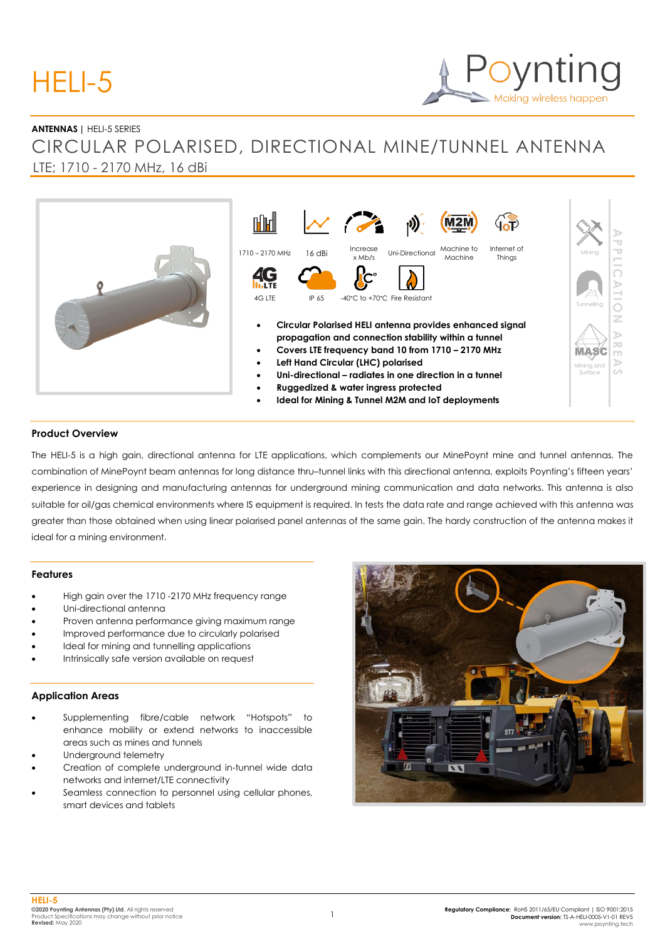# HELI-5

# Making wireless happen

#### **ANTENNAS |** HELI-5 SERIES

# CIRCULAR POLARISED, DIRECTIONAL MINE/TUNNEL ANTENNA LTE; 1710 - 2170 MHz, 16 dBi



#### **Product Overview**

The HELI-5 is a high gain, directional antenna for LTE applications, which complements our MinePoynt mine and tunnel antennas. The combination of MinePoynt beam antennas for long distance thru–tunnel links with this directional antenna, exploits Poynting's fifteen years' experience in designing and manufacturing antennas for underground mining communication and data networks. This antenna is also suitable for oil/gas chemical environments where IS equipment is required. In tests the data rate and range achieved with this antenna was greater than those obtained when using linear polarised panel antennas of the same gain. The hardy construction of the antenna makes it ideal for a mining environment.

#### **Features**

- High gain over the 1710 -2170 MHz frequency range
- Uni-directional antenna
- Proven antenna performance giving maximum range
- Improved performance due to circularly polarised
- Ideal for mining and tunnelling applications
- Intrinsically safe version available on request

#### **Application Areas**

- Supplementing fibre/cable network "Hotspots" to enhance mobility or extend networks to inaccessible areas such as mines and tunnels
- Underground telemetry
- Creation of complete underground in-tunnel wide data networks and internet/LTE connectivity
- Seamless connection to personnel using cellular phones, smart devices and tablets

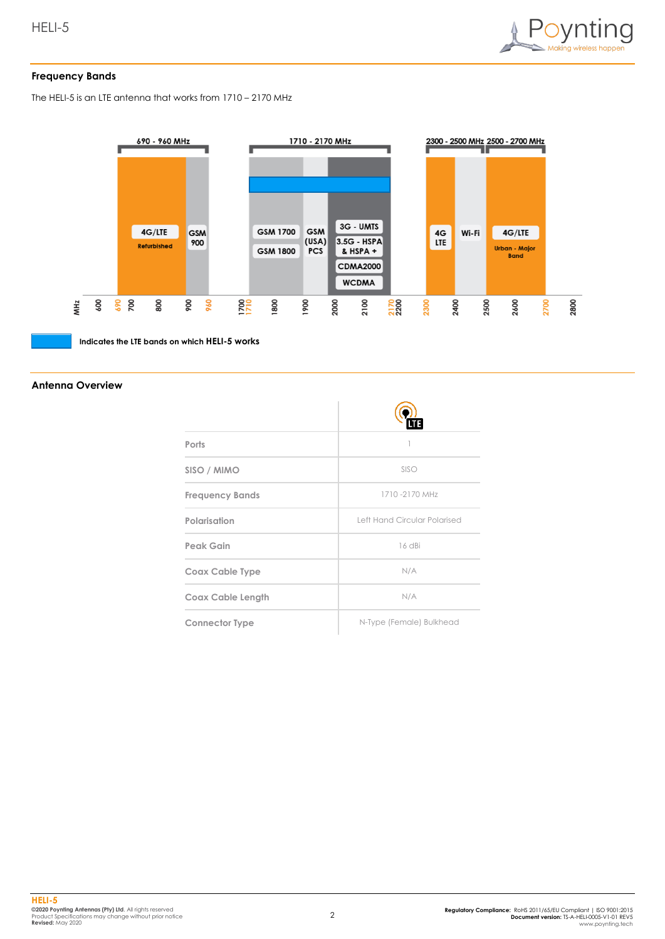

#### **Frequency Bands**

The HELI-5 is an LTE antenna that works from 1710 – 2170 MHz



**Indicates the LTE bands on which HELI-5 works**

#### **Antenna Overview**

| Ports                    |                              |
|--------------------------|------------------------------|
| SISO / MIMO              | SISO                         |
| <b>Frequency Bands</b>   | 1710-2170 MHz                |
| Polarisation             | Left Hand Circular Polarised |
| Peak Gain                | 16 dBi                       |
| Coax Cable Type          | N/A                          |
| <b>Coax Cable Length</b> | N/A                          |
| <b>Connector Type</b>    | N-Type (Female) Bulkhead     |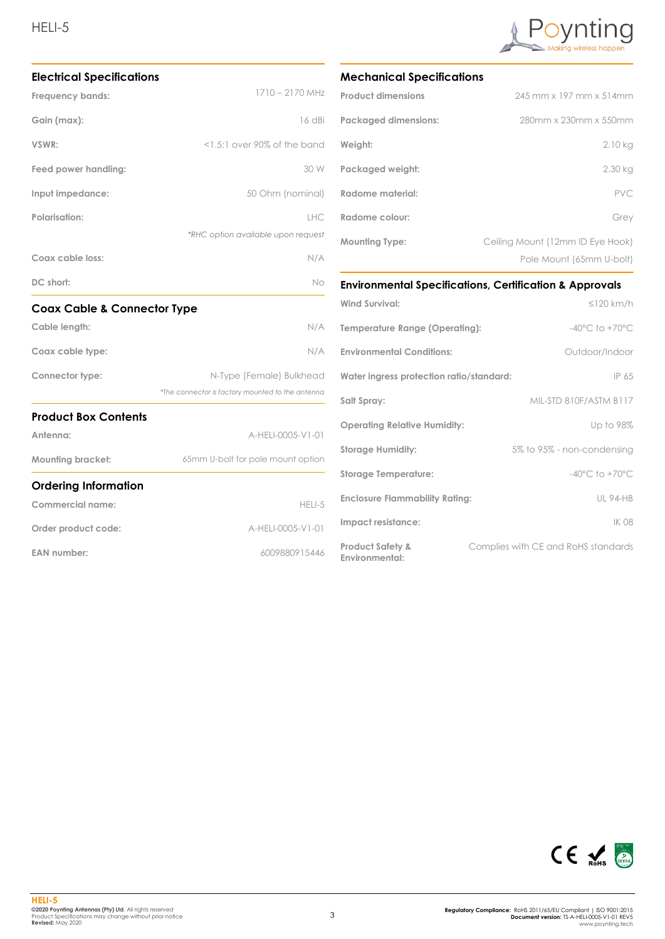## HELI-5



**EAN number:** 6009880915446



#### **Mechanical Specifications**

| <b>Product dimensions</b>   | 245 mm x 197 mm x 514mm          |
|-----------------------------|----------------------------------|
| <b>Packaged dimensions:</b> | 280mm x 230mm x 550mm            |
| Weight:                     | 2.10 kg                          |
| Packaged weight:            | 2.30 kg                          |
| Radome material:            | <b>PVC</b>                       |
| Radome colour:              | Grey                             |
| <b>Mounting Type:</b>       | Ceiling Mount (12mm ID Eye Hook) |
|                             | Pole Mount (65mm U-bolt)         |

#### **Environmental Specifications, Certification & Approvals**

| <b>Wind Survival:</b>                         | $\leq$ 120 km/h                     |
|-----------------------------------------------|-------------------------------------|
| Temperature Range (Operating):                | $-40^{\circ}$ C to $+70^{\circ}$ C  |
| <b>Environmental Conditions:</b>              | Outdoor/Indoor                      |
| Water ingress protection ratio/standard:      | IP 65                               |
| Salt Spray:                                   | MIL-STD 810F/ASTM B117              |
| <b>Operating Relative Humidity:</b>           | Up to 98%                           |
| <b>Storage Humidity:</b>                      | 5% to 95% - non-condensing          |
| <b>Storage Temperature:</b>                   | $-40^{\circ}$ C to $+70^{\circ}$ C  |
| <b>Enclosure Flammability Rating:</b>         | <b>UL 94-HB</b>                     |
| Impact resistance:                            | IK 08                               |
| <b>Product Safety &amp;</b><br>Environmental: | Complies with CE and RoHS standards |



| HELI-5            |                                                        |
|-------------------|--------------------------------------------------------|
|                   | ©2020 Povntina Antennas (Ptv) Ltd. All rights reserved |
|                   | Product Specifications may chanae without prior notice |
| Revised: May 2020 |                                                        |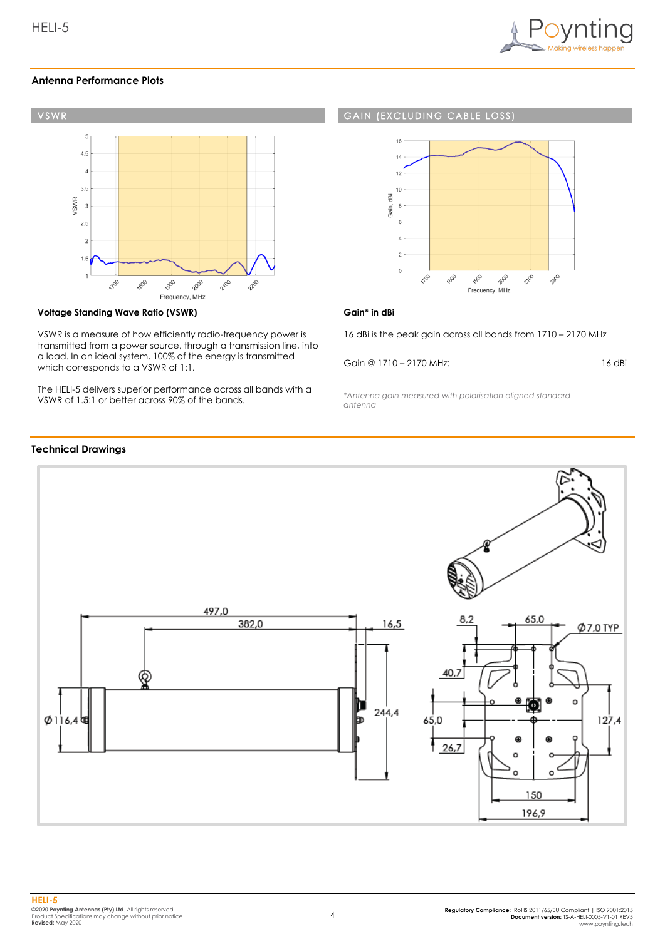

#### **Antenna Performance Plots**



#### **Voltage Standing Wave Ratio (VSWR)**

VSWR is a measure of how efficiently radio-frequency power is transmitted from a power source, through a transmission line, into a load. In an ideal system, 100% of the energy is transmitted which corresponds to a VSWR of 1:1.

The HELI-5 delivers superior performance across all bands with a VSWR of 1.5:1 or better across 90% of the bands.

#### **GAIN (EXCLUDING CABLE LOSS**



#### **Gain\* in dBi**

16 dBi is the peak gain across all bands from 1710 – 2170 MHz

Gain @ 1710 – 2170 MHz:

16 dBi

*\*Antenna gain measured with polarisation aligned standard antenna*



#### **HELI-5 ©2020 Poynting Antennas (Pty) Ltd**. All rights reserved Product Specifications may change without prior notice **Revised:** May 2020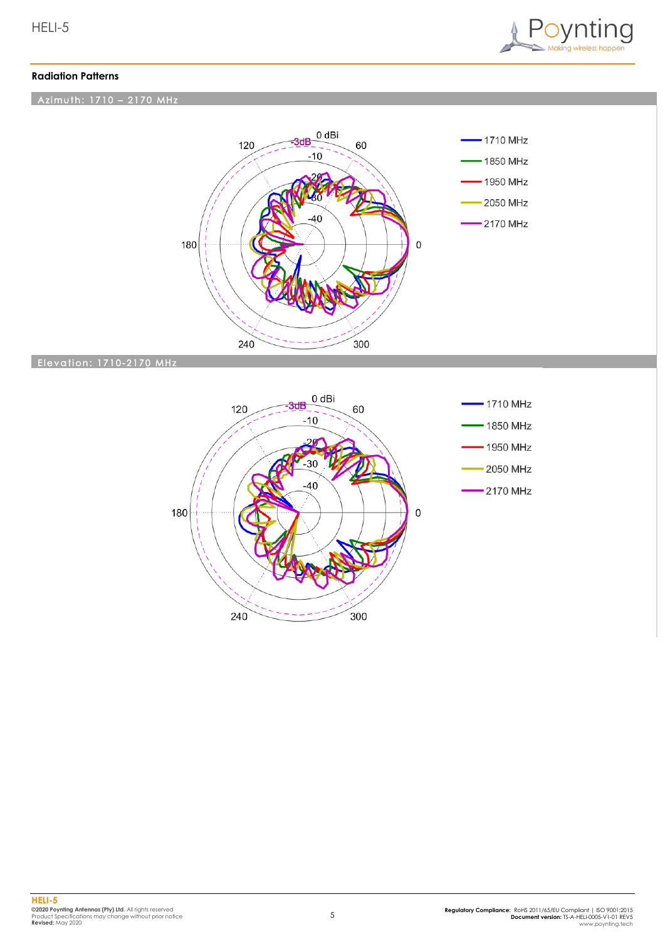

#### **Radiation Patterns**

### Azimuth: 1710 - 2170 MHz



#### **Elevation: 1710-2170 MHz**